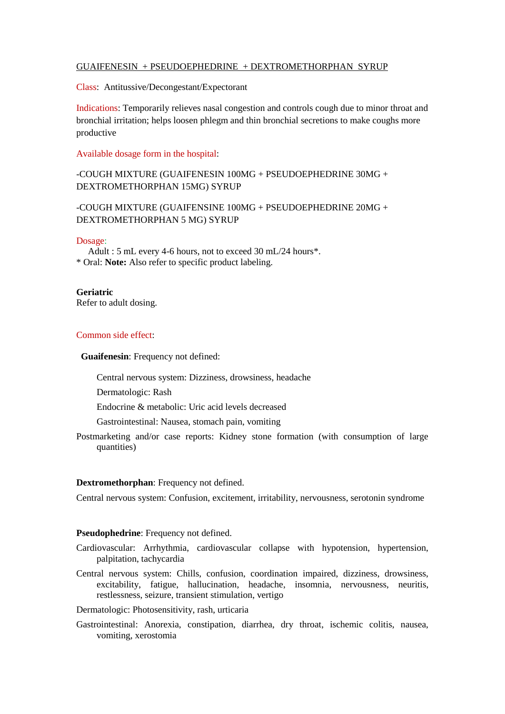# GUAIFENESIN + PSEUDOEPHEDRINE + DEXTROMETHORPHAN SYRUP

Class: Antitussive/Decongestant/Expectorant

Indications: Temporarily relieves nasal congestion and controls cough due to minor throat and bronchial irritation; helps loosen phlegm and thin bronchial secretions to make coughs more productive

### Available dosage form in the hospital:

# -COUGH MIXTURE (GUAIFENESIN 100MG + PSEUDOEPHEDRINE 30MG + DEXTROMETHORPHAN 15MG) SYRUP

# -COUGH MIXTURE (GUAIFENSINE 100MG + PSEUDOEPHEDRINE 20MG + DEXTROMETHORPHAN 5 MG) SYRUP

#### Dosage:

 Adult : 5 mL every 4-6 hours, not to exceed 30 mL/24 hours\*. \* Oral: **Note:** Also refer to specific product labeling.

### **Geriatric**

Refer to adult dosing.

### Common side effect:

**Guaifenesin**: Frequency not defined:

Central nervous system: Dizziness, drowsiness, headache

Dermatologic: Rash

Endocrine & metabolic: Uric acid levels decreased

Gastrointestinal: Nausea, stomach pain, vomiting

Postmarketing and/or case reports: Kidney stone formation (with consumption of large quantities)

#### **Dextromethorphan**: Frequency not defined.

Central nervous system: Confusion, excitement, irritability, nervousness, serotonin syndrome

#### **Pseudophedrine**: Frequency not defined.

- Cardiovascular: Arrhythmia, cardiovascular collapse with hypotension, hypertension, palpitation, tachycardia
- Central nervous system: Chills, confusion, coordination impaired, dizziness, drowsiness, excitability, fatigue, hallucination, headache, insomnia, nervousness, neuritis, restlessness, seizure, transient stimulation, vertigo

## Dermatologic: Photosensitivity, rash, urticaria

Gastrointestinal: Anorexia, constipation, diarrhea, dry throat, ischemic colitis, nausea, vomiting, xerostomia